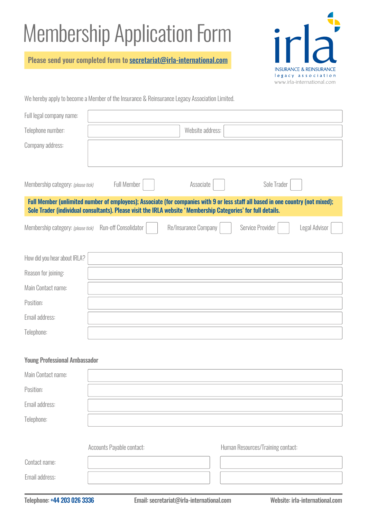## Membership Application Form

Please send your completed form to [secretariat@irla-international.com](mailto:secretariat%40irla-international.com?subject=)



We hereby apply to become a Member of the Insurance & Reinsurance Legacy Association Limited.

| Full legal company name:             |                                                                                                               |                      |                                                                                                                                  |
|--------------------------------------|---------------------------------------------------------------------------------------------------------------|----------------------|----------------------------------------------------------------------------------------------------------------------------------|
| Telephone number:                    |                                                                                                               | Website address:     |                                                                                                                                  |
| Company address:                     |                                                                                                               |                      |                                                                                                                                  |
| Membership category: (please tick)   | <b>Full Member</b>                                                                                            | Associate            | Sole Trader                                                                                                                      |
|                                      | Sole Trader (individual consultants). Please visit the IRLA website 'Membership Categories' for full details. |                      | Full Member (unlimited number of employees); Associate (for companies with 9 or less staff all based in one country (not mixed); |
| Membership category: (please tick)   | Run-off Consolidator                                                                                          | Re/Insurance Company | Service Provider<br>Legal Advisor                                                                                                |
| How did you hear about IRLA?         |                                                                                                               |                      |                                                                                                                                  |
| Reason for joining:                  |                                                                                                               |                      |                                                                                                                                  |
| Main Contact name:                   |                                                                                                               |                      |                                                                                                                                  |
| Position:                            |                                                                                                               |                      |                                                                                                                                  |
| Email address:                       |                                                                                                               |                      |                                                                                                                                  |
| Telephone:                           |                                                                                                               |                      |                                                                                                                                  |
| <b>Young Professional Ambassador</b> |                                                                                                               |                      |                                                                                                                                  |
| Main Contact name:                   |                                                                                                               |                      |                                                                                                                                  |
| Position:                            |                                                                                                               |                      |                                                                                                                                  |
| Email address:                       |                                                                                                               |                      |                                                                                                                                  |
| Telephone:                           |                                                                                                               |                      |                                                                                                                                  |
|                                      | Accounts Payable contact:                                                                                     |                      | Human Resources/Training contact:                                                                                                |

Contact name: Email address: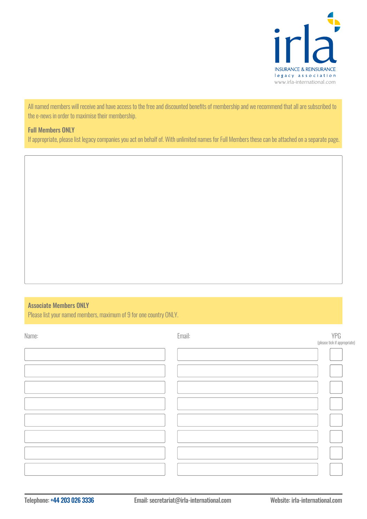

All named members will receive and have access to the free and discounted benefits of membership and we recommend that all are subscribed to the e-news in order to maximise their membership.

## Full Members ONLY

If appropriate, please list legacy companies you act on behalf of. With unlimited names for Full Members these can be attached on a separate page.

## Associate Members ONLY

Please list your named members, maximum of 9 for one country ONLY.

| Name: | Email: | YPG                          |
|-------|--------|------------------------------|
|       |        | (please tick if appropriate) |
|       |        |                              |
|       |        |                              |
|       |        |                              |
|       |        |                              |
|       |        |                              |
|       |        |                              |
|       |        |                              |
|       |        |                              |
|       |        |                              |